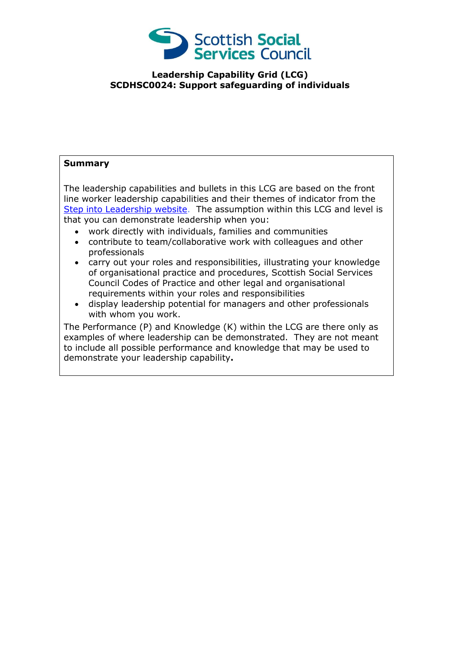

## **Leadership Capability Grid (LCG) SCDHSC0024: Support safeguarding of individuals**

## **Summary**

The leadership capabilities and bullets in this LCG are based on the front line worker leadership capabilities and their themes of indicator from the [Step into Leadership website.](http://www.stepintoleadership.info/) The assumption within this LCG and level is that you can demonstrate leadership when you:

- work directly with individuals, families and communities
- contribute to team/collaborative work with colleagues and other professionals
- carry out your roles and responsibilities, illustrating your knowledge of organisational practice and procedures, Scottish Social Services Council Codes of Practice and other legal and organisational requirements within your roles and responsibilities
- display leadership potential for managers and other professionals with whom you work.

The Performance (P) and Knowledge (K) within the LCG are there only as examples of where leadership can be demonstrated. They are not meant to include all possible performance and knowledge that may be used to demonstrate your leadership capability**.**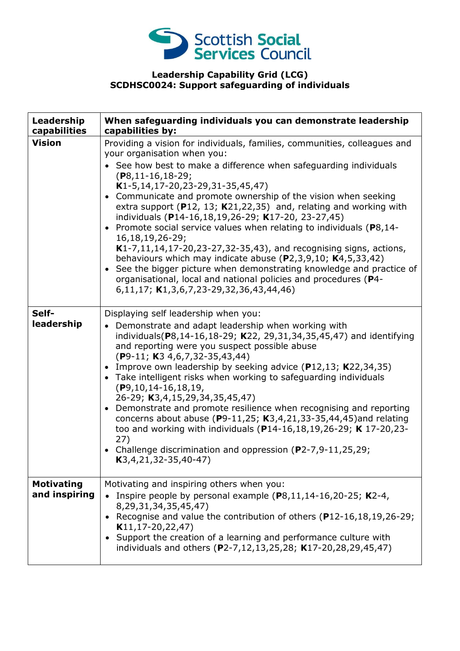

## **Leadership Capability Grid (LCG) SCDHSC0024: Support safeguarding of individuals**

| Leadership<br>capabilities         | When safeguarding individuals you can demonstrate leadership<br>capabilities by:                                                                                                                                                                                                                                                                                                                                                                                                                                                                                                                                                                                                                                                                                                                                                                                                |
|------------------------------------|---------------------------------------------------------------------------------------------------------------------------------------------------------------------------------------------------------------------------------------------------------------------------------------------------------------------------------------------------------------------------------------------------------------------------------------------------------------------------------------------------------------------------------------------------------------------------------------------------------------------------------------------------------------------------------------------------------------------------------------------------------------------------------------------------------------------------------------------------------------------------------|
| <b>Vision</b>                      | Providing a vision for individuals, families, communities, colleagues and<br>your organisation when you:<br>• See how best to make a difference when safeguarding individuals<br>$(P8, 11-16, 18-29)$<br>$K1-5, 14, 17-20, 23-29, 31-35, 45, 47)$<br>• Communicate and promote ownership of the vision when seeking<br>extra support ( $P12$ , 13; K21,22,35) and, relating and working with<br>individuals (P14-16,18,19,26-29; K17-20, 23-27,45)<br>• Promote social service values when relating to individuals (P8,14-<br>16, 18, 19, 26 - 29;<br>K1-7,11,14,17-20,23-27,32-35,43), and recognising signs, actions,<br>behaviours which may indicate abuse $(P2,3,9,10; K4,5,33,42)$<br>• See the bigger picture when demonstrating knowledge and practice of<br>organisational, local and national policies and procedures (P4-<br>6,11,17; K1,3,6,7,23-29,32,36,43,44,46) |
| Self-<br>leadership                | Displaying self leadership when you:<br>• Demonstrate and adapt leadership when working with<br>individuals(P8,14-16,18-29; K22, 29,31,34,35,45,47) and identifying<br>and reporting were you suspect possible abuse<br>$(P9-11; K3 4, 6, 7, 32-35, 43, 44)$<br>• Improve own leadership by seeking advice (P12,13; K22,34,35)<br>• Take intelligent risks when working to safeguarding individuals<br>$(P9, 10, 14-16, 18, 19,$<br>26-29; K3,4,15,29,34,35,45,47)<br>• Demonstrate and promote resilience when recognising and reporting<br>concerns about abuse (P9-11,25; $K3,4,21,33-35,44,45$ ) and relating<br>too and working with individuals (P14-16,18,19,26-29; K 17-20,23-<br>27)<br>• Challenge discrimination and oppression (P2-7,9-11,25,29;<br>$K3, 4, 21, 32 - 35, 40 - 47)$                                                                                  |
| <b>Motivating</b><br>and inspiring | Motivating and inspiring others when you:<br>• Inspire people by personal example $(P8, 11, 14-16, 20-25; K2-4,$<br>8,29,31,34,35,45,47)<br>• Recognise and value the contribution of others (P12-16,18,19,26-29;<br>$K11, 17-20, 22, 47)$<br>Support the creation of a learning and performance culture with<br>individuals and others (P2-7,12,13,25,28; K17-20,28,29,45,47)                                                                                                                                                                                                                                                                                                                                                                                                                                                                                                  |